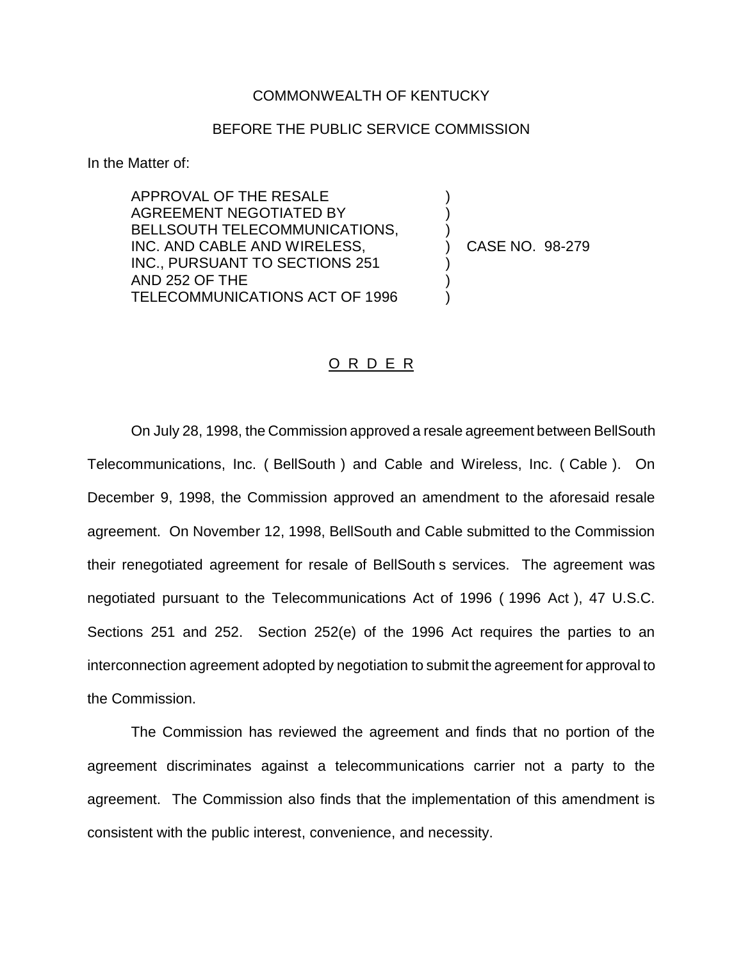## COMMONWEALTH OF KENTUCKY

## BEFORE THE PUBLIC SERVICE COMMISSION

) ) )

) ) )

In the Matter of:

APPROVAL OF THE RESALE AGREEMENT NEGOTIATED BY BELLSOUTH TELECOMMUNICATIONS, INC. AND CABLE AND WIRELESS, INC., PURSUANT TO SECTIONS 251 AND 252 OF THE TELECOMMUNICATIONS ACT OF 1996

) CASE NO. 98-279

## O R D E R

On July 28, 1998, the Commission approved a resale agreement between BellSouth Telecommunications, Inc. ( BellSouth ) and Cable and Wireless, Inc. ( Cable ). On December 9, 1998, the Commission approved an amendment to the aforesaid resale agreement. On November 12, 1998, BellSouth and Cable submitted to the Commission their renegotiated agreement for resale of BellSouth s services. The agreement was negotiated pursuant to the Telecommunications Act of 1996 ( 1996 Act ), 47 U.S.C. Sections 251 and 252. Section 252(e) of the 1996 Act requires the parties to an interconnection agreement adopted by negotiation to submit the agreement for approval to the Commission.

The Commission has reviewed the agreement and finds that no portion of the agreement discriminates against a telecommunications carrier not a party to the agreement. The Commission also finds that the implementation of this amendment is consistent with the public interest, convenience, and necessity.